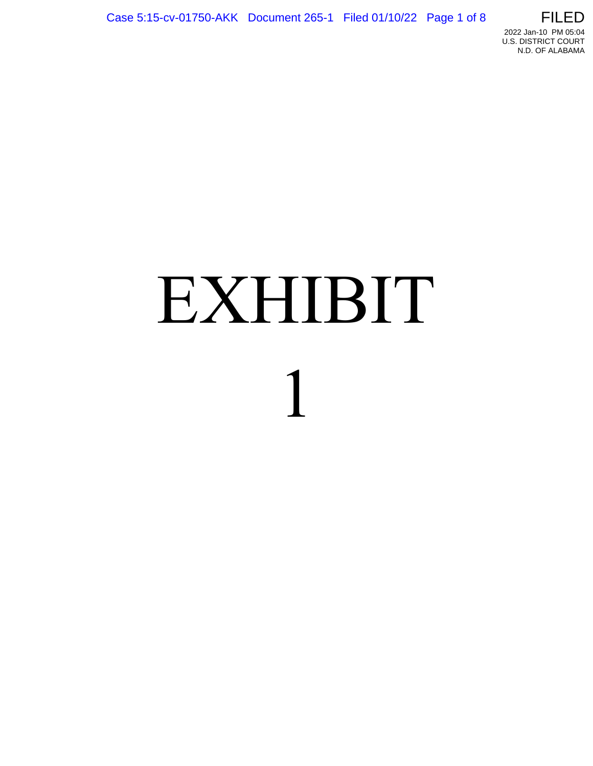

# EXHIBIT 1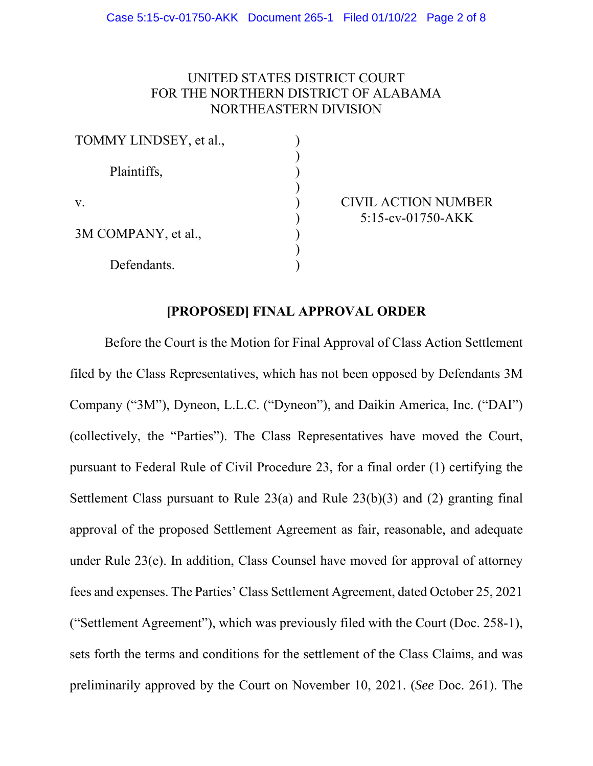## UNITED STATES DISTRICT COURT FOR THE NORTHERN DISTRICT OF ALABAMA NORTHEASTERN DIVISION

| TOMMY LINDSEY, et al., |  |
|------------------------|--|
| Plaintiffs,            |  |
| V.                     |  |
| 3M COMPANY, et al.,    |  |
| Defendants.            |  |

CIVIL ACTION NUMBER 5:15-cv-01750-AKK

# **[PROPOSED] FINAL APPROVAL ORDER**

 Before the Court is the Motion for Final Approval of Class Action Settlement filed by the Class Representatives, which has not been opposed by Defendants 3M Company ("3M"), Dyneon, L.L.C. ("Dyneon"), and Daikin America, Inc. ("DAI") (collectively, the "Parties"). The Class Representatives have moved the Court, pursuant to Federal Rule of Civil Procedure 23, for a final order (1) certifying the Settlement Class pursuant to Rule  $23(a)$  and Rule  $23(b)(3)$  and (2) granting final approval of the proposed Settlement Agreement as fair, reasonable, and adequate under Rule 23(e). In addition, Class Counsel have moved for approval of attorney fees and expenses. The Parties' Class Settlement Agreement, dated October 25, 2021 ("Settlement Agreement"), which was previously filed with the Court (Doc. 258-1), sets forth the terms and conditions for the settlement of the Class Claims, and was preliminarily approved by the Court on November 10, 2021. (*See* Doc. 261). The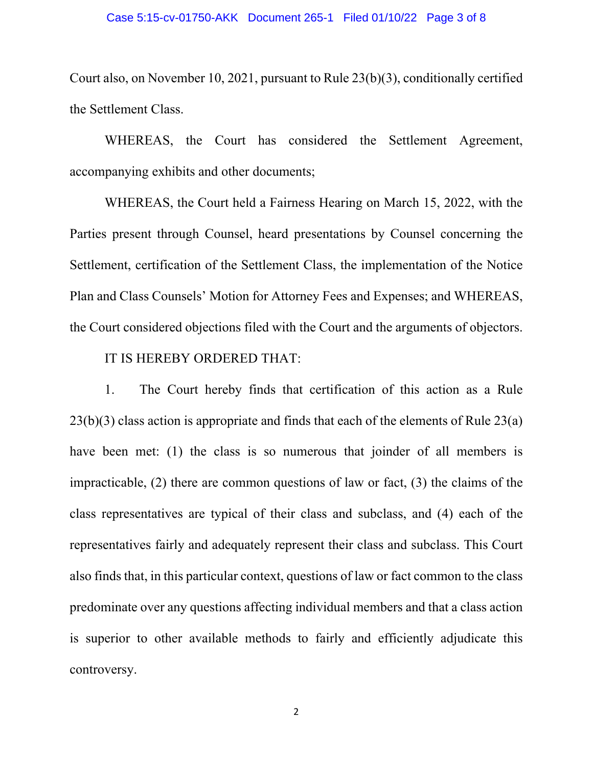Court also, on November 10, 2021, pursuant to Rule 23(b)(3), conditionally certified the Settlement Class.

 WHEREAS, the Court has considered the Settlement Agreement, accompanying exhibits and other documents;

 WHEREAS, the Court held a Fairness Hearing on March 15, 2022, with the Parties present through Counsel, heard presentations by Counsel concerning the Settlement, certification of the Settlement Class, the implementation of the Notice Plan and Class Counsels' Motion for Attorney Fees and Expenses; and WHEREAS, the Court considered objections filed with the Court and the arguments of objectors.

### IT IS HEREBY ORDERED THAT:

 1. The Court hereby finds that certification of this action as a Rule 23(b)(3) class action is appropriate and finds that each of the elements of Rule 23(a) have been met: (1) the class is so numerous that joinder of all members is impracticable, (2) there are common questions of law or fact, (3) the claims of the class representatives are typical of their class and subclass, and (4) each of the representatives fairly and adequately represent their class and subclass. This Court also finds that, in this particular context, questions of law or fact common to the class predominate over any questions affecting individual members and that a class action is superior to other available methods to fairly and efficiently adjudicate this controversy.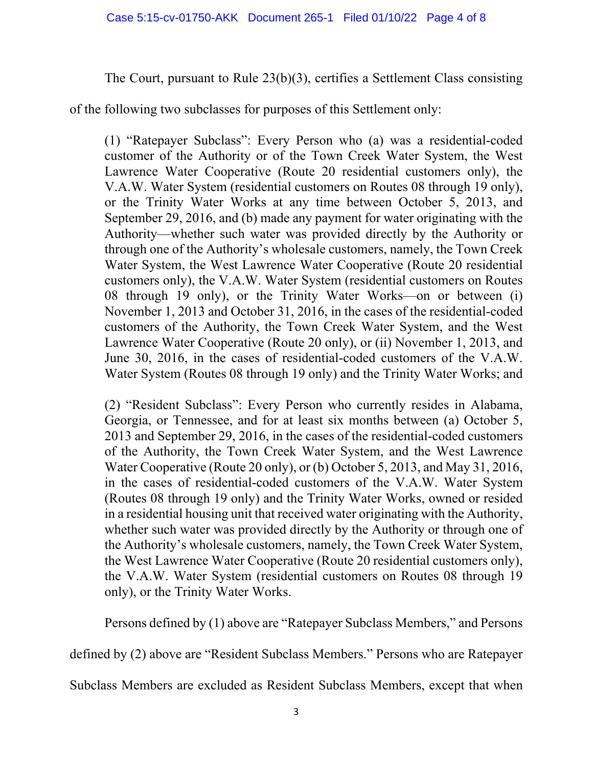# The Court, pursuant to Rule 23(b)(3), certifies a Settlement Class consisting

of the following two subclasses for purposes of this Settlement only:

(1) "Ratepayer Subclass": Every Person who (a) was a residential-coded customer of the Authority or of the Town Creek Water System, the West Lawrence Water Cooperative (Route 20 residential customers only), the V.A.W. Water System (residential customers on Routes 08 through 19 only), or the Trinity Water Works at any time between October 5, 2013, and September 29, 2016, and (b) made any payment for water originating with the Authority—whether such water was provided directly by the Authority or through one of the Authority's wholesale customers, namely, the Town Creek Water System, the West Lawrence Water Cooperative (Route 20 residential customers only), the V.A.W. Water System (residential customers on Routes 08 through 19 only), or the Trinity Water Works—on or between (i) November 1, 2013 and October 31, 2016, in the cases of the residential-coded customers of the Authority, the Town Creek Water System, and the West Lawrence Water Cooperative (Route 20 only), or (ii) November 1, 2013, and June 30, 2016, in the cases of residential-coded customers of the V.A.W. Water System (Routes 08 through 19 only) and the Trinity Water Works; and

(2) "Resident Subclass": Every Person who currently resides in Alabama, Georgia, or Tennessee, and for at least six months between (a) October 5, 2013 and September 29, 2016, in the cases of the residential-coded customers of the Authority, the Town Creek Water System, and the West Lawrence Water Cooperative (Route 20 only), or (b) October 5, 2013, and May 31, 2016, in the cases of residential-coded customers of the V.A.W. Water System (Routes 08 through 19 only) and the Trinity Water Works, owned or resided in a residential housing unit that received water originating with the Authority, whether such water was provided directly by the Authority or through one of the Authority's wholesale customers, namely, the Town Creek Water System, the West Lawrence Water Cooperative (Route 20 residential customers only), the V.A.W. Water System (residential customers on Routes 08 through 19 only), or the Trinity Water Works.

Persons defined by (1) above are "Ratepayer Subclass Members," and Persons

defined by (2) above are "Resident Subclass Members." Persons who are Ratepayer

Subclass Members are excluded as Resident Subclass Members, except that when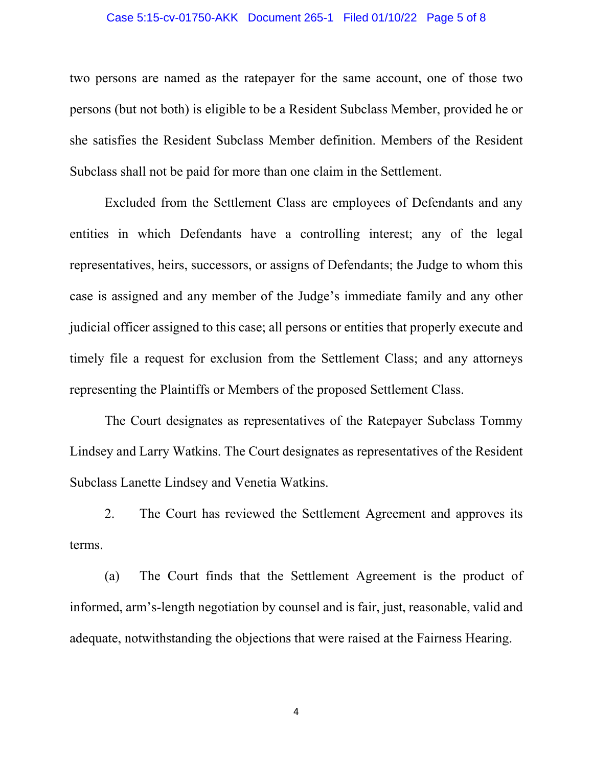#### Case 5:15-cv-01750-AKK Document 265-1 Filed 01/10/22 Page 5 of 8

two persons are named as the ratepayer for the same account, one of those two persons (but not both) is eligible to be a Resident Subclass Member, provided he or she satisfies the Resident Subclass Member definition. Members of the Resident Subclass shall not be paid for more than one claim in the Settlement.

 Excluded from the Settlement Class are employees of Defendants and any entities in which Defendants have a controlling interest; any of the legal representatives, heirs, successors, or assigns of Defendants; the Judge to whom this case is assigned and any member of the Judge's immediate family and any other judicial officer assigned to this case; all persons or entities that properly execute and timely file a request for exclusion from the Settlement Class; and any attorneys representing the Plaintiffs or Members of the proposed Settlement Class.

 The Court designates as representatives of the Ratepayer Subclass Tommy Lindsey and Larry Watkins. The Court designates as representatives of the Resident Subclass Lanette Lindsey and Venetia Watkins.

 2. The Court has reviewed the Settlement Agreement and approves its terms.

 (a) The Court finds that the Settlement Agreement is the product of informed, arm's-length negotiation by counsel and is fair, just, reasonable, valid and adequate, notwithstanding the objections that were raised at the Fairness Hearing.

4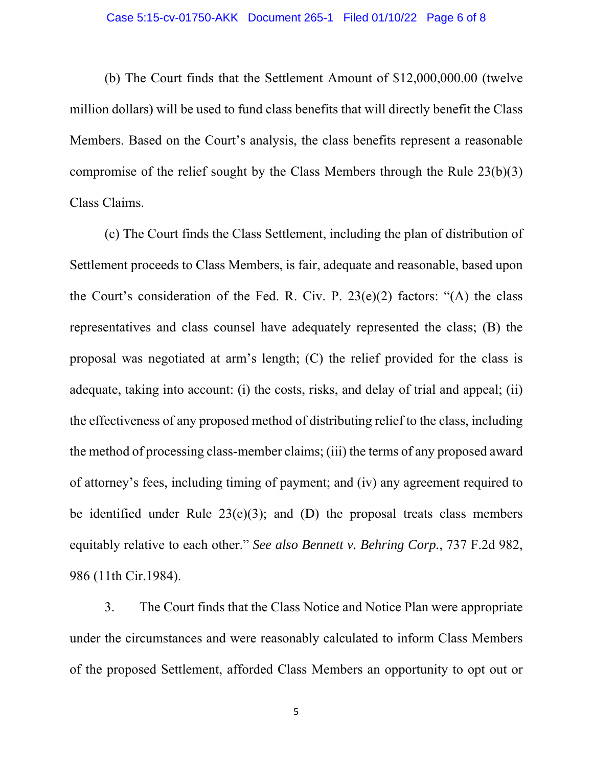(b) The Court finds that the Settlement Amount of \$12,000,000.00 (twelve million dollars) will be used to fund class benefits that will directly benefit the Class Members. Based on the Court's analysis, the class benefits represent a reasonable compromise of the relief sought by the Class Members through the Rule 23(b)(3) Class Claims.

 (c) The Court finds the Class Settlement, including the plan of distribution of Settlement proceeds to Class Members, is fair, adequate and reasonable, based upon the Court's consideration of the Fed. R. Civ. P.  $23(e)(2)$  factors: "(A) the class representatives and class counsel have adequately represented the class; (B) the proposal was negotiated at arm's length; (C) the relief provided for the class is adequate, taking into account: (i) the costs, risks, and delay of trial and appeal; (ii) the effectiveness of any proposed method of distributing relief to the class, including the method of processing class-member claims; (iii) the terms of any proposed award of attorney's fees, including timing of payment; and (iv) any agreement required to be identified under Rule  $23(e)(3)$ ; and (D) the proposal treats class members equitably relative to each other." *See also Bennett v. Behring Corp.*, 737 F.2d 982, 986 (11th Cir.1984).

 3. The Court finds that the Class Notice and Notice Plan were appropriate under the circumstances and were reasonably calculated to inform Class Members of the proposed Settlement, afforded Class Members an opportunity to opt out or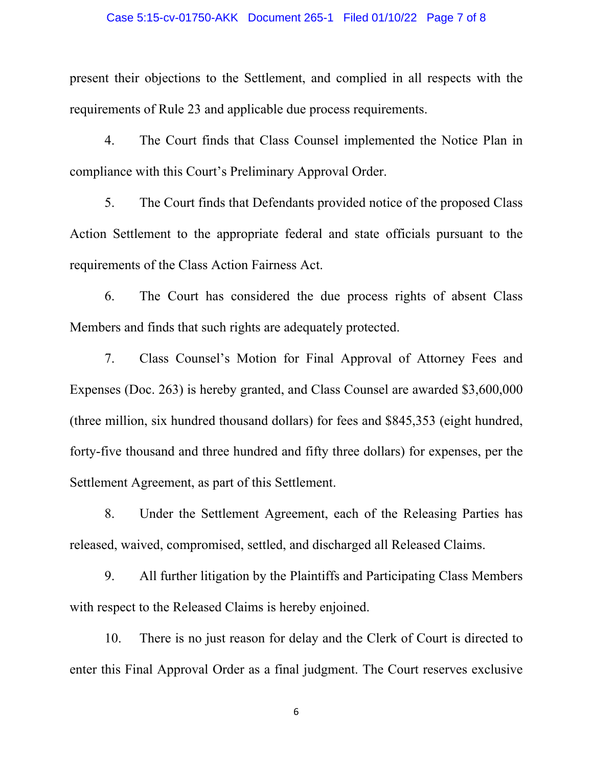#### Case 5:15-cv-01750-AKK Document 265-1 Filed 01/10/22 Page 7 of 8

present their objections to the Settlement, and complied in all respects with the requirements of Rule 23 and applicable due process requirements.

 4. The Court finds that Class Counsel implemented the Notice Plan in compliance with this Court's Preliminary Approval Order.

 5. The Court finds that Defendants provided notice of the proposed Class Action Settlement to the appropriate federal and state officials pursuant to the requirements of the Class Action Fairness Act.

 6. The Court has considered the due process rights of absent Class Members and finds that such rights are adequately protected.

 7. Class Counsel's Motion for Final Approval of Attorney Fees and Expenses (Doc. 263) is hereby granted, and Class Counsel are awarded \$3,600,000 (three million, six hundred thousand dollars) for fees and \$845,353 (eight hundred, forty-five thousand and three hundred and fifty three dollars) for expenses, per the Settlement Agreement, as part of this Settlement.

 8. Under the Settlement Agreement, each of the Releasing Parties has released, waived, compromised, settled, and discharged all Released Claims.

 9. All further litigation by the Plaintiffs and Participating Class Members with respect to the Released Claims is hereby enjoined.

 10. There is no just reason for delay and the Clerk of Court is directed to enter this Final Approval Order as a final judgment. The Court reserves exclusive

6